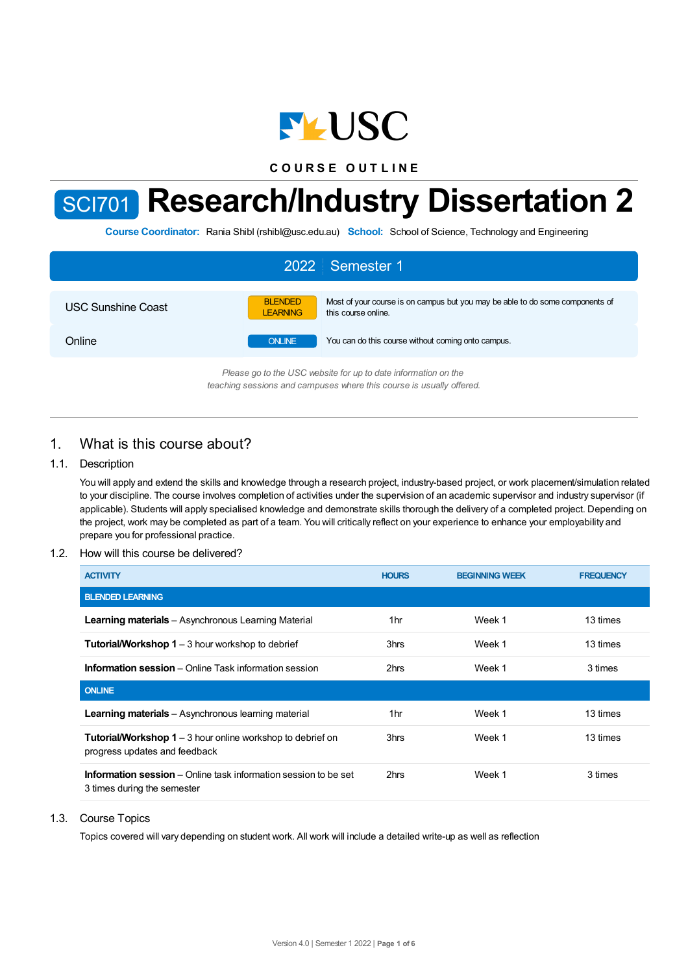

**C O U R S E O U T L I N E**

# SCI701 **Research/Industry Dissertation 2**

**Course Coordinator:** Rania Shibl (rshibl@usc.edu.au) **School:** School of Science, Technology and Engineering

| 2022 Semester 1           |                                   |                                                                                                      |  |  |
|---------------------------|-----------------------------------|------------------------------------------------------------------------------------------------------|--|--|
| <b>USC Sunshine Coast</b> | <b>BLENDED</b><br><b>LEARNING</b> | Most of your course is on campus but you may be able to do some components of<br>this course online. |  |  |
| Online                    | <b>ONLINE</b>                     | You can do this course without coming onto campus.                                                   |  |  |
|                           |                                   | $D0.0000$ as to the LICC unheits for un to date information on the                                   |  |  |

*Please go to the USC website for up to date information on the teaching sessions and campuses where this course is usually offered.*

# 1. What is this course about?

## 1.1. Description

You will apply and extend the skills and knowledge through a research project, industry-based project, or work placement/simulation related to your discipline. The course involves completion of activities under the supervision of an academic supervisor and industry supervisor (if applicable). Students will apply specialised knowledge and demonstrate skills thorough the delivery of a completed project. Depending on the project, work may be completed as part of a team. You will critically reflect on your experience to enhance your employability and prepare you for professional practice.

## 1.2. How will this course be delivered?

| <b>ACTIVITY</b>                                                                                       | <b>HOURS</b>    | <b>BEGINNING WEEK</b> | <b>FREQUENCY</b> |
|-------------------------------------------------------------------------------------------------------|-----------------|-----------------------|------------------|
| <b>BLENDED LEARNING</b>                                                                               |                 |                       |                  |
| <b>Learning materials</b> – Asynchronous Learning Material                                            | 1 <sub>hr</sub> | Week 1                | 13 times         |
| <b>Tutorial/Workshop 1</b> $-$ 3 hour workshop to debrief                                             | 3hrs            | Week 1                | 13 times         |
| <b>Information session</b> – Online Task information session                                          | 2hrs            | Week 1                | 3 times          |
| <b>ONLINE</b>                                                                                         |                 |                       |                  |
| <b>Learning materials</b> – Asynchronous learning material                                            | 1hr             | Week 1                | 13 times         |
| <b>Tutorial/Workshop 1</b> – 3 hour online workshop to debrief on<br>progress updates and feedback    | 3hrs            | Week 1                | 13 times         |
| <b>Information session</b> – Online task information session to be set<br>3 times during the semester | 2hrs            | Week 1                | 3 times          |

#### 1.3. Course Topics

Topics covered will vary depending on student work. All work will include a detailed write-up as well as reflection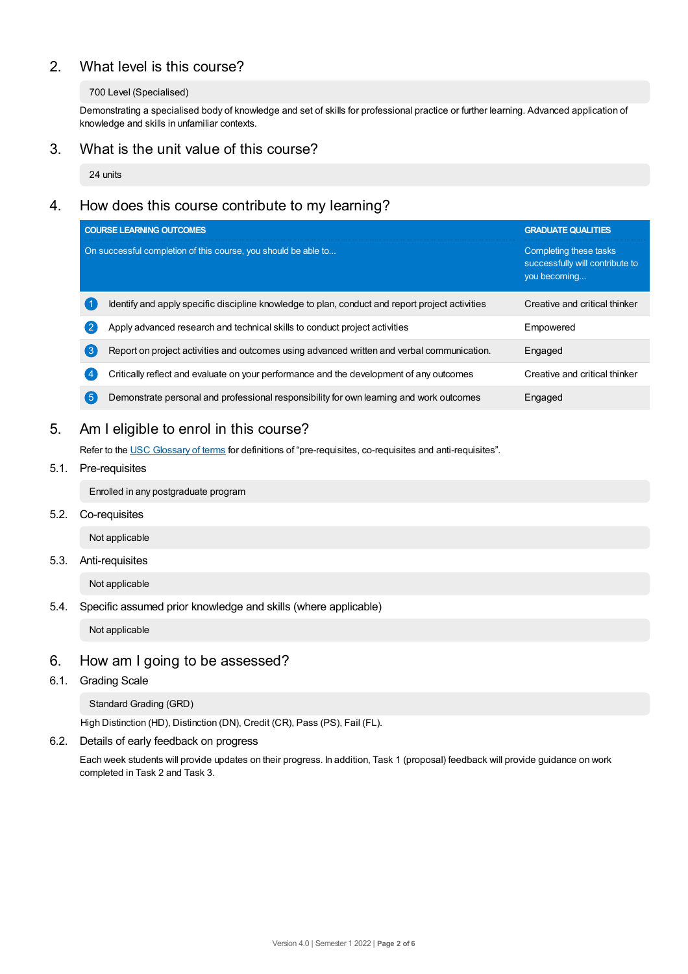# 2. What level is this course?

#### 700 Level (Specialised)

Demonstrating a specialised body of knowledge and set of skills for professional practice or further learning. Advanced application of knowledge and skills in unfamiliar contexts.

## 3. What is the unit value of this course?

24 units

# 4. How does this course contribute to my learning?

|                                                                | <b>COURSE LEARNING OUTCOMES</b>                                                                 | <b>GRADUATE QUALITIES</b>                                                 |  |
|----------------------------------------------------------------|-------------------------------------------------------------------------------------------------|---------------------------------------------------------------------------|--|
| On successful completion of this course, you should be able to |                                                                                                 | Completing these tasks<br>successfully will contribute to<br>you becoming |  |
|                                                                | Identify and apply specific discipline knowledge to plan, conduct and report project activities | Creative and critical thinker                                             |  |
| $\left( 2 \right)$                                             | Apply advanced research and technical skills to conduct project activities                      | Empowered                                                                 |  |
| $\sqrt{3}$                                                     | Report on project activities and outcomes using advanced written and verbal communication.      | Engaged                                                                   |  |
| $\overline{4}$                                                 | Critically reflect and evaluate on your performance and the development of any outcomes         | Creative and critical thinker                                             |  |
| 【5                                                             | Demonstrate personal and professional responsibility for own learning and work outcomes         | Engaged                                                                   |  |

# 5. Am Ieligible to enrol in this course?

Refer to the USC [Glossary](https://www.usc.edu.au/about/policies-and-procedures/glossary-of-terms-for-policy-and-procedures) of terms for definitions of "pre-requisites, co-requisites and anti-requisites".

## 5.1. Pre-requisites

Enrolled in any postgraduate program

5.2. Co-requisites

Not applicable

## 5.3. Anti-requisites

Not applicable

5.4. Specific assumed prior knowledge and skills (where applicable)

Not applicable

## 6. How am Igoing to be assessed?

6.1. Grading Scale

Standard Grading (GRD)

High Distinction (HD), Distinction (DN), Credit (CR), Pass (PS), Fail (FL).

6.2. Details of early feedback on progress

Each week students will provide updates on their progress. In addition, Task 1 (proposal) feedback will provide guidance on work completed in Task 2 and Task 3.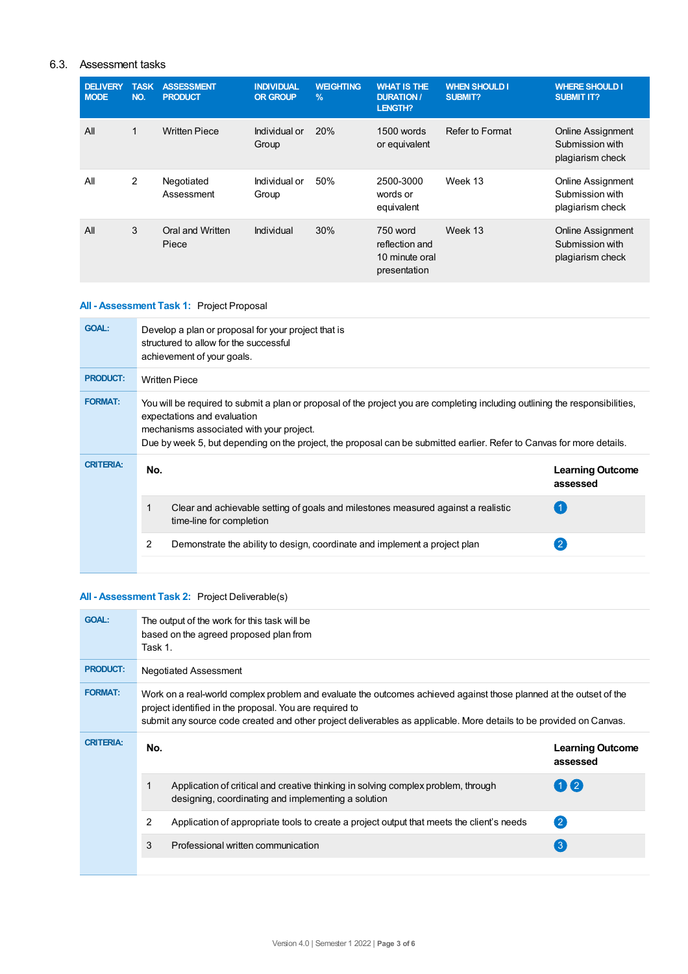## 6.3. Assessment tasks

| <b>DELIVERY</b><br><b>MODE</b> | <b>TASK</b><br>NO. | <b>ASSESSMENT</b><br><b>PRODUCT</b> | <b>INDIVIDUAL</b><br><b>OR GROUP</b> | <b>WEIGHTING</b><br>$\frac{9}{6}$ | <b>WHAT IS THE</b><br><b>DURATION /</b><br><b>LENGTH?</b>    | <b>WHEN SHOULD I</b><br>SUBMIT? | <b>WHERE SHOULD I</b><br><b>SUBMIT IT?</b>                      |
|--------------------------------|--------------------|-------------------------------------|--------------------------------------|-----------------------------------|--------------------------------------------------------------|---------------------------------|-----------------------------------------------------------------|
| All                            | $\mathbf{1}$       | <b>Written Piece</b>                | Individual or<br>Group               | 20%                               | 1500 words<br>or equivalent                                  | Refer to Format                 | <b>Online Assignment</b><br>Submission with<br>plagiarism check |
| All                            | 2                  | Negotiated<br>Assessment            | Individual or<br>Group               | 50%                               | 2500-3000<br>words or<br>equivalent                          | Week 13                         | <b>Online Assignment</b><br>Submission with<br>plagiarism check |
| All                            | 3                  | Oral and Written<br>Piece           | Individual                           | 30%                               | 750 word<br>reflection and<br>10 minute oral<br>presentation | Week 13                         | <b>Online Assignment</b><br>Submission with<br>plagiarism check |

## **All - Assessment Task 1:** Project Proposal

| <b>GOAL:</b>     |                                                                                                                                                                                                                                                                                                                                   | Develop a plan or proposal for your project that is<br>structured to allow for the successful<br>achievement of your goals. |                                     |  |  |
|------------------|-----------------------------------------------------------------------------------------------------------------------------------------------------------------------------------------------------------------------------------------------------------------------------------------------------------------------------------|-----------------------------------------------------------------------------------------------------------------------------|-------------------------------------|--|--|
| <b>PRODUCT:</b>  | <b>Written Piece</b>                                                                                                                                                                                                                                                                                                              |                                                                                                                             |                                     |  |  |
| <b>FORMAT:</b>   | You will be required to submit a plan or proposal of the project you are completing including outlining the responsibilities,<br>expectations and evaluation<br>mechanisms associated with your project.<br>Due by week 5, but depending on the project, the proposal can be submitted earlier. Refer to Canvas for more details. |                                                                                                                             |                                     |  |  |
| <b>CRITERIA:</b> | No.                                                                                                                                                                                                                                                                                                                               |                                                                                                                             | <b>Learning Outcome</b><br>assessed |  |  |
|                  |                                                                                                                                                                                                                                                                                                                                   | Clear and achievable setting of goals and milestones measured against a realistic<br>time-line for completion               |                                     |  |  |
|                  | 2                                                                                                                                                                                                                                                                                                                                 | Demonstrate the ability to design, coordinate and implement a project plan                                                  |                                     |  |  |
|                  |                                                                                                                                                                                                                                                                                                                                   |                                                                                                                             |                                     |  |  |

## **All - Assessment Task 2:** Project Deliverable(s)

| <b>GOAL:</b>     | The output of the work for this task will be<br>based on the agreed proposed plan from<br>Task 1.                                                                                                                                                                                                    |                                                                                                                                          |                                     |  |  |
|------------------|------------------------------------------------------------------------------------------------------------------------------------------------------------------------------------------------------------------------------------------------------------------------------------------------------|------------------------------------------------------------------------------------------------------------------------------------------|-------------------------------------|--|--|
| <b>PRODUCT:</b>  | <b>Negotiated Assessment</b>                                                                                                                                                                                                                                                                         |                                                                                                                                          |                                     |  |  |
| <b>FORMAT:</b>   | Work on a real-world complex problem and evaluate the outcomes achieved against those planned at the outset of the<br>project identified in the proposal. You are required to<br>submit any source code created and other project deliverables as applicable. More details to be provided on Canvas. |                                                                                                                                          |                                     |  |  |
|                  |                                                                                                                                                                                                                                                                                                      |                                                                                                                                          |                                     |  |  |
| <b>CRITERIA:</b> | No.                                                                                                                                                                                                                                                                                                  |                                                                                                                                          | <b>Learning Outcome</b><br>assessed |  |  |
|                  |                                                                                                                                                                                                                                                                                                      | Application of critical and creative thinking in solving complex problem, through<br>designing, coordinating and implementing a solution | 112                                 |  |  |
|                  | 2                                                                                                                                                                                                                                                                                                    | Application of appropriate tools to create a project output that meets the client's needs                                                | $\left( 2 \right)$                  |  |  |
|                  | 3                                                                                                                                                                                                                                                                                                    | Professional written communication                                                                                                       | $\left(3\right)$                    |  |  |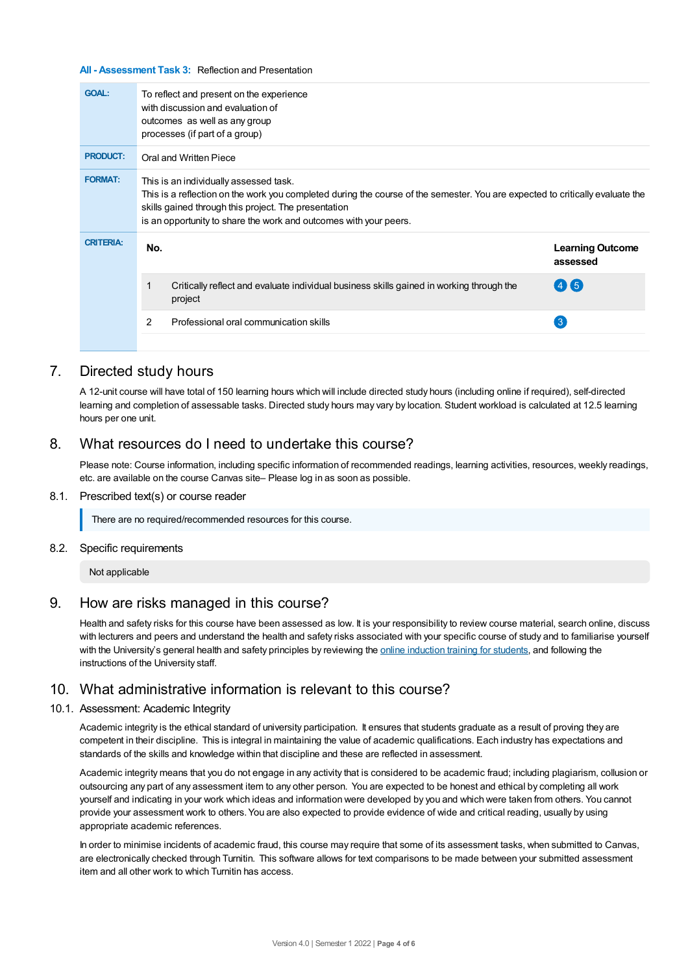#### **All - Assessment Task 3:** Reflection and Presentation

| <b>GOAL:</b>     | To reflect and present on the experience<br>with discussion and evaluation of<br>outcomes as well as any group<br>processes (if part of a group)                                                                                                                                                     |                                     |  |  |  |
|------------------|------------------------------------------------------------------------------------------------------------------------------------------------------------------------------------------------------------------------------------------------------------------------------------------------------|-------------------------------------|--|--|--|
| <b>PRODUCT:</b>  | Oral and Written Piece                                                                                                                                                                                                                                                                               |                                     |  |  |  |
| <b>FORMAT:</b>   | This is an individually assessed task.<br>This is a reflection on the work you completed during the course of the semester. You are expected to critically evaluate the<br>skills gained through this project. The presentation<br>is an opportunity to share the work and outcomes with your peers. |                                     |  |  |  |
| <b>CRITERIA:</b> | No.                                                                                                                                                                                                                                                                                                  | <b>Learning Outcome</b><br>assessed |  |  |  |
|                  | Critically reflect and evaluate individual business skills gained in working through the<br>project                                                                                                                                                                                                  | $(4)$ (5)                           |  |  |  |
|                  | Professional oral communication skills<br>2                                                                                                                                                                                                                                                          | 3                                   |  |  |  |

## 7. Directed study hours

A 12-unit course will have total of 150 learning hours which will include directed study hours (including online if required), self-directed learning and completion of assessable tasks. Directed study hours may vary by location. Student workload is calculated at 12.5 learning hours per one unit.

## 8. What resources do I need to undertake this course?

Please note: Course information, including specific information of recommended readings, learning activities, resources, weekly readings, etc. are available on the course Canvas site– Please log in as soon as possible.

#### 8.1. Prescribed text(s) or course reader

There are no required/recommended resources for this course.

#### 8.2. Specific requirements

Not applicable

## 9. How are risks managed in this course?

Health and safety risks for this course have been assessed as low. It is your responsibility to review course material, search online, discuss with lecturers and peers and understand the health and safety risks associated with your specific course of study and to familiarise yourself with the University's general health and safety principles by reviewing the online [induction](https://online.usc.edu.au/webapps/blackboard/content/listContentEditable.jsp?content_id=_632657_1&course_id=_14432_1) training for students, and following the instructions of the University staff.

## 10. What administrative information is relevant to this course?

#### 10.1. Assessment: Academic Integrity

Academic integrity is the ethical standard of university participation. It ensures that students graduate as a result of proving they are competent in their discipline. This is integral in maintaining the value of academic qualifications. Each industry has expectations and standards of the skills and knowledge within that discipline and these are reflected in assessment.

Academic integrity means that you do not engage in any activity that is considered to be academic fraud; including plagiarism, collusion or outsourcing any part of any assessment item to any other person. You are expected to be honest and ethical by completing all work yourself and indicating in your work which ideas and information were developed by you and which were taken from others. You cannot provide your assessment work to others.You are also expected to provide evidence of wide and critical reading, usually by using appropriate academic references.

In order to minimise incidents of academic fraud, this course may require that some of its assessment tasks, when submitted to Canvas, are electronically checked through Turnitin. This software allows for text comparisons to be made between your submitted assessment item and all other work to which Turnitin has access.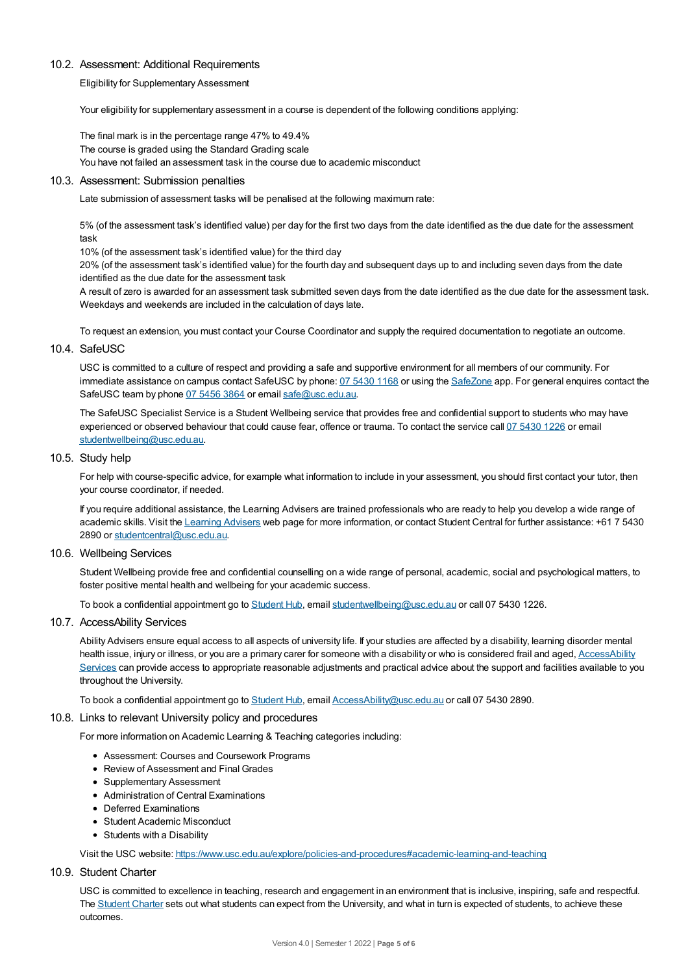#### 10.2. Assessment: Additional Requirements

Eligibility for Supplementary Assessment

Your eligibility for supplementary assessment in a course is dependent of the following conditions applying:

The final mark is in the percentage range 47% to 49.4% The course is graded using the Standard Grading scale You have not failed an assessment task in the course due to academic misconduct

#### 10.3. Assessment: Submission penalties

Late submission of assessment tasks will be penalised at the following maximum rate:

5% (of the assessment task's identified value) per day for the first two days from the date identified as the due date for the assessment task

10% (of the assessment task's identified value) for the third day

20% (of the assessment task's identified value) for the fourth day and subsequent days up to and including seven days from the date identified as the due date for the assessment task

A result of zero is awarded for an assessment task submitted seven days from the date identified as the due date for the assessment task. Weekdays and weekends are included in the calculation of days late.

To request an extension, you must contact your Course Coordinator and supply the required documentation to negotiate an outcome.

## 10.4. SafeUSC

USC is committed to a culture of respect and providing a safe and supportive environment for all members of our community. For immediate assistance on campus contact SafeUSC by phone: 07 [5430](tel:07%205430%201168) 1168 or using the [SafeZone](https://www.safezoneapp.com) app. For general enquires contact the SafeUSC team by phone 07 [5456](tel:07%205456%203864) 3864 or email [safe@usc.edu.au](mailto:safe@usc.edu.au).

The SafeUSC Specialist Service is a Student Wellbeing service that provides free and confidential support to students who may have experienced or observed behaviour that could cause fear, offence or trauma. To contact the service call 07 [5430](tel:07%205430%201226) 1226 or email [studentwellbeing@usc.edu.au](mailto:studentwellbeing@usc.edu.au).

#### 10.5. Study help

For help with course-specific advice, for example what information to include in your assessment, you should first contact your tutor, then your course coordinator, if needed.

If you require additional assistance, the Learning Advisers are trained professionals who are ready to help you develop a wide range of academic skills. Visit the Learning [Advisers](https://www.usc.edu.au/current-students/student-support/academic-and-study-support/learning-advisers) web page for more information, or contact Student Central for further assistance: +61 7 5430 2890 or [studentcentral@usc.edu.au](mailto:studentcentral@usc.edu.au).

#### 10.6. Wellbeing Services

Student Wellbeing provide free and confidential counselling on a wide range of personal, academic, social and psychological matters, to foster positive mental health and wellbeing for your academic success.

To book a confidential appointment go to [Student](https://studenthub.usc.edu.au/) Hub, email [studentwellbeing@usc.edu.au](mailto:studentwellbeing@usc.edu.au) or call 07 5430 1226.

#### 10.7. AccessAbility Services

Ability Advisers ensure equal access to all aspects of university life. If your studies are affected by a disability, learning disorder mental health issue, injury or illness, or you are a primary carer for someone with a disability or who is considered frail and aged, [AccessAbility](https://www.usc.edu.au/learn/student-support/accessability-services/documentation-requirements) Services can provide access to appropriate reasonable adjustments and practical advice about the support and facilities available to you throughout the University.

To book a confidential appointment go to [Student](https://studenthub.usc.edu.au/) Hub, email [AccessAbility@usc.edu.au](mailto:AccessAbility@usc.edu.au) or call 07 5430 2890.

#### 10.8. Links to relevant University policy and procedures

For more information on Academic Learning & Teaching categories including:

- Assessment: Courses and Coursework Programs
- Review of Assessment and Final Grades
- Supplementary Assessment
- Administration of Central Examinations
- Deferred Examinations
- Student Academic Misconduct
- Students with a Disability

Visit the USC website: <https://www.usc.edu.au/explore/policies-and-procedures#academic-learning-and-teaching>

#### 10.9. Student Charter

USC is committed to excellence in teaching, research and engagement in an environment that is inclusive, inspiring, safe and respectful. The [Student](https://www.usc.edu.au/current-students/student-charter) Charter sets out what students can expect from the University, and what in turn is expected of students, to achieve these outcomes.